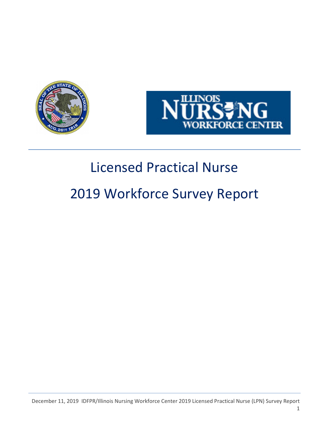



# Licensed Practical Nurse

# 2019 Workforce Survey Report

December 11, 2019 IDFPR/Illinois Nursing Workforce Center 2019 Licensed Practical Nurse (LPN) Survey Report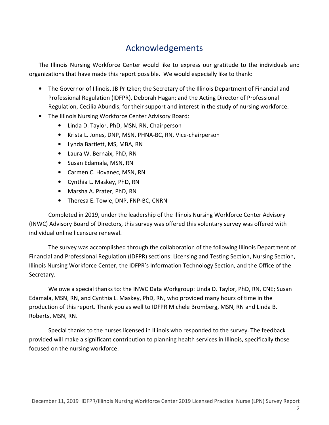# Acknowledgements

The Illinois Nursing Workforce Center would like to express our gratitude to the individuals and organizations that have made this report possible. We would especially like to thank:

- The Governor of Illinois, JB Pritzker; the Secretary of the Illinois Department of Financial and Professional Regulation (IDFPR), Deborah Hagan; and the Acting Director of Professional Regulation, Cecilia Abundis, for their support and interest in the study of nursing workforce.
- The Illinois Nursing Workforce Center Advisory Board:
	- Linda D. Taylor, PhD, MSN, RN, Chairperson
	- Krista L. Jones, DNP, MSN, PHNA-BC, RN, Vice-chairperson
	- Lynda Bartlett, MS, MBA, RN
	- Laura W. Bernaix, PhD, RN
	- Susan Edamala, MSN, RN
	- Carmen C. Hovanec, MSN, RN
	- Cynthia L. Maskey, PhD, RN
	- Marsha A. Prater, PhD, RN
	- Theresa E. Towle, DNP, FNP-BC, CNRN

Completed in 2019, under the leadership of the Illinois Nursing Workforce Center Advisory (INWC) Advisory Board of Directors, this survey was offered this voluntary survey was offered with individual online licensure renewal.

The survey was accomplished through the collaboration of the following Illinois Department of Financial and Professional Regulation (IDFPR) sections: Licensing and Testing Section, Nursing Section, Illinois Nursing Workforce Center, the IDFPR's Information Technology Section, and the Office of the Secretary.

We owe a special thanks to: the INWC Data Workgroup: Linda D. Taylor, PhD, RN, CNE; Susan Edamala, MSN, RN, and Cynthia L. Maskey, PhD, RN, who provided many hours of time in the production of this report. Thank you as well to IDFPR Michele Bromberg, MSN, RN and Linda B. Roberts, MSN, RN.

Special thanks to the nurses licensed in Illinois who responded to the survey. The feedback provided will make a significant contribution to planning health services in Illinois, specifically those focused on the nursing workforce.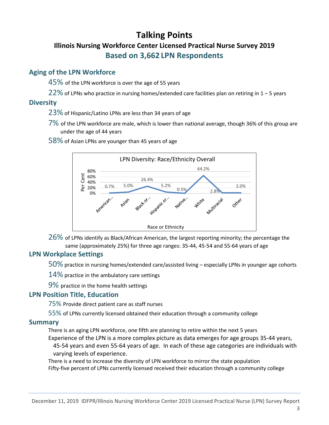## Talking Points Illinois Nursing Workforce Center Licensed Practical Nurse Survey 2019 Based on 3,662 LPN Respondents

### Aging of the LPN Workforce

 $45\%$  of the LPN workforce is over the age of 55 years

 $22\%$  of LPNs who practice in nursing homes/extended care facilities plan on retiring in 1 – 5 years

### **Diversity**

- 23% of Hispanic/Latino LPNs are less than 34 years of age
- 7% of the LPN workforce are male, which is lower than national average, though 36% of this group are under the age of 44 years

58% of Asian LPNs are younger than 45 years of age



26% of LPNs identify as Black/African American, the largest reporting minority; the percentage the same (approximately 25%) for three age ranges: 35-44, 45-54 and 55-64 years of age

### LPN Workplace Settings

50% practice in nursing homes/extended care/assisted living – especially LPNs in younger age cohorts

14% practice in the ambulatory care settings

9% practice in the home health settings

### LPN Position Title, Education

75% Provide direct patient care as staff nurses

55% of LPNs currently licensed obtained their education through a community college

### Summary

There is an aging LPN workforce, one fifth are planning to retire within the next 5 years

Experience of the LPN is a more complex picture as data emerges for age groups 35-44 years, 45-54 years and even 55-64 years of age. In each of these age categories are individuals with

varying levels of experience.

There is a need to increase the diversity of LPN workforce to mirror the state population Fifty-five percent of LPNs currently licensed received their education through a community college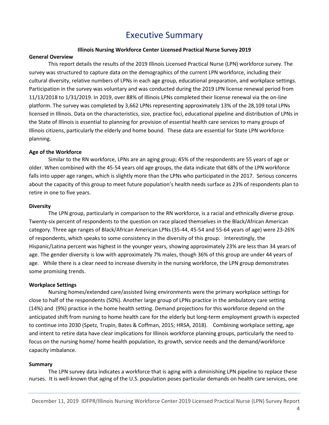## Executive Summary

#### Illinois Nursing Workforce Center Licensed Practical Nurse Survey 2019

#### General Overview

This report details the results of the 2019 Illinois Licensed Practical Nurse (LPN) workforce survey. The survey was structured to capture data on the demographics of the current LPN workforce, including their cultural diversity, relative numbers of LPNs in each age group, educational preparation, and workplace settings. Participation in the survey was voluntary and was conducted during the 2019 LPN license renewal period from 11/13/2018 to 1/31/2019. In 2019, over 88% of Illinois LPNs completed their license renewal via the on-line platform. The survey was completed by 3,662 LPNs representing approximately 13% of the 28,109 total LPNs licensed in Illinois. Data on the characteristics, size, practice foci, educational pipeline and distribution of LPNs in the State of Illinois is essential to planning for provision of essential health care services to many groups of Illinois citizens, particularly the elderly and home bound. These data are essential for State LPN workforce planning.

#### Age of the Workforce

Similar to the RN workforce, LPNs are an aging group; 45% of the respondents are 55 years of age or older. When combined with the 45-54 years old age groups, the data indicate that 68% of the LPN workforce falls into upper age ranges, which is slightly more than the LPNs who participated in the 2017. Serious concerns about the capacity of this group to meet future population's health needs surface as 23% of respondents plan to retire in one to five years.

#### **Diversity**

The LPN group, particularly in comparison to the RN workforce, is a racial and ethnically diverse group. Twenty-six percent of respondents to the question on race placed themselves in the Black/African American category. Three age ranges of Black/African American LPNs (35-44, 45-54 and 55-64 years of age) were 23-26% of respondents, which speaks to some consistency in the diversity of this group. Interestingly, the Hispanic/Latina percent was highest in the younger years, showing approximately 23% are less than 34 years of age. The gender diversity is low with approximately 7% males, though 36% of this group are under 44 years of age. While there is a clear need to increase diversity in the nursing workforce, the LPN group demonstrates some promising trends.

#### Workplace Settings

Nursing homes/extended care/assisted living environments were the primary workplace settings for close to half of the respondents (50%). Another large group of LPNs practice in the ambulatory care setting (14%) and (9%) practice in the home health setting. Demand projections for this workforce depend on the anticipated shift from nursing to home health care for the elderly but long-term employment growth is expected to continue into 2030 (Spetz, Trupin, Bates & Coffman, 2015; HRSA, 2018). Combining workplace setting, age and intent to retire data have clear implications for Illinois workforce planning groups, particularly the need to focus on the nursing home/ home health population, its growth, service needs and the demand/workforce capacity imbalance.

#### Summary

The LPN survey data indicates a workforce that is aging with a diminishing LPN pipeline to replace these nurses. It is well-known that aging of the U.S. population poses particular demands on health care services, one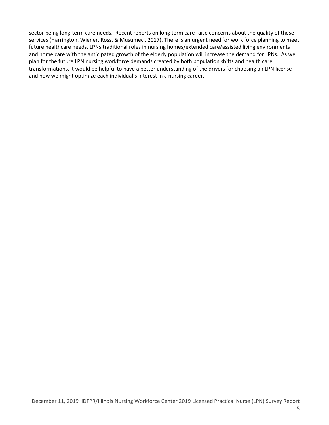sector being long-term care needs. Recent reports on long term care raise concerns about the quality of these services (Harrington, Wiener, Ross, & Musumeci, 2017). There is an urgent need for work force planning to meet future healthcare needs. LPNs traditional roles in nursing homes/extended care/assisted living environments and home care with the anticipated growth of the elderly population will increase the demand for LPNs. As we plan for the future LPN nursing workforce demands created by both population shifts and health care transformations, it would be helpful to have a better understanding of the drivers for choosing an LPN license and how we might optimize each individual's interest in a nursing career.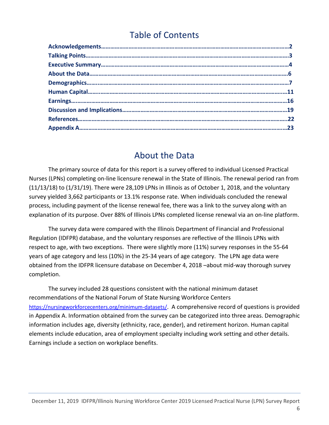# Table of Contents

## About the Data

The primary source of data for this report is a survey offered to individual Licensed Practical Nurses (LPNs) completing on-line licensure renewal in the State of Illinois. The renewal period ran from (11/13/18) to (1/31/19). There were 28,109 LPNs in Illinois as of October 1, 2018, and the voluntary survey yielded 3,662 participants or 13.1% response rate. When individuals concluded the renewal process, including payment of the license renewal fee, there was a link to the survey along with an explanation of its purpose. Over 88% of Illinois LPNs completed license renewal via an on-line platform.

The survey data were compared with the Illinois Department of Financial and Professional Regulation (IDFPR) database, and the voluntary responses are reflective of the Illinois LPNs with respect to age, with two exceptions. There were slightly more (11%) survey responses in the 55-64 years of age category and less (10%) in the 25-34 years of age category. The LPN age data were obtained from the IDFPR licensure database on December 4, 2018 –about mid-way thorough survey completion.

The survey included 28 questions consistent with the national minimum dataset recommendations of the National Forum of State Nursing Workforce Centers https://nursingworkforcecenters.org/minimum-datasets/. A comprehensive record of questions is provided in Appendix A. Information obtained from the survey can be categorized into three areas. Demographic information includes age, diversity (ethnicity, race, gender), and retirement horizon. Human capital elements include education, area of employment specialty including work setting and other details. Earnings include a section on workplace benefits.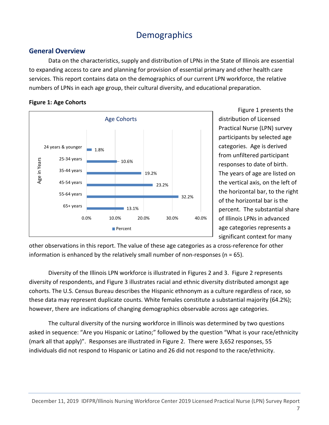# **Demographics**

### General Overview

Data on the characteristics, supply and distribution of LPNs in the State of Illinois are essential to expanding access to care and planning for provision of essential primary and other health care services. This report contains data on the demographics of our current LPN workforce, the relative numbers of LPNs in each age group, their cultural diversity, and educational preparation.



Figure 1: Age Cohorts

Figure 1 presents the distribution of Licensed Practical Nurse (LPN) survey participants by selected age categories. Age is derived from unfiltered participant responses to date of birth. The years of age are listed on the vertical axis, on the left of the horizontal bar, to the right of the horizontal bar is the percent. The substantial share of Illinois LPNs in advanced age categories represents a significant context for many

other observations in this report. The value of these age categories as a cross-reference for other information is enhanced by the relatively small number of non-responses ( $n = 65$ ).

Diversity of the Illinois LPN workforce is illustrated in Figures 2 and 3. Figure 2 represents diversity of respondents, and Figure 3 illustrates racial and ethnic diversity distributed amongst age cohorts. The U.S. Census Bureau describes the Hispanic ethnonym as a culture regardless of race, so these data may represent duplicate counts. White females constitute a substantial majority (64.2%); however, there are indications of changing demographics observable across age categories.

The cultural diversity of the nursing workforce in Illinois was determined by two questions asked in sequence: "Are you Hispanic or Latino;" followed by the question "What is your race/ethnicity (mark all that apply)". Responses are illustrated in Figure 2. There were 3,652 responses, 55 individuals did not respond to Hispanic or Latino and 26 did not respond to the race/ethnicity.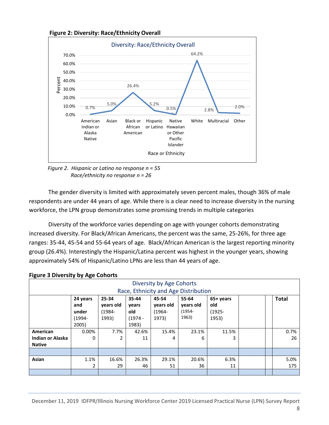



Figure 2. Hispanic or Latino no response  $n = 55$ Race/ethnicity no response n = 26

The gender diversity is limited with approximately seven percent males, though 36% of male respondents are under 44 years of age. While there is a clear need to increase diversity in the nursing workforce, the LPN group demonstrates some promising trends in multiple categories

Diversity of the workforce varies depending on age with younger cohorts demonstrating increased diversity. For Black/African Americans, the percent was the same, 25-26%, for three age ranges: 35-44, 45-54 and 55-64 years of age. Black/African American is the largest reporting minority group (26.4%). Interestingly the Hispanic/Latina percent was highest in the younger years, showing approximately 54% of Hispanic/Latino LPNs are less than 44 years of age.

| ັ<br>. .                             |          |           |           |           |           |           |  |  |              |  |  |  |
|--------------------------------------|----------|-----------|-----------|-----------|-----------|-----------|--|--|--------------|--|--|--|
| Diversity by Age Cohorts             |          |           |           |           |           |           |  |  |              |  |  |  |
| Race, Ethnicity and Age Distribution |          |           |           |           |           |           |  |  |              |  |  |  |
|                                      | 24 years | 25-34     | 35-44     | 45-54     | 55-64     | 65+ years |  |  | <b>Total</b> |  |  |  |
|                                      | and      | years old | years     | vears old | years old | old       |  |  |              |  |  |  |
|                                      | under    | $(1984 -$ | old       | $(1964 -$ | (1954-    | $(1925 -$ |  |  |              |  |  |  |
|                                      | (1994-   | 1993)     | $(1974 -$ | 1973)     | 1963)     | 1953)     |  |  |              |  |  |  |
|                                      | 2005)    |           | 1983)     |           |           |           |  |  |              |  |  |  |
| American                             | 0.00%    | 7.7%      | 42.6%     | 15.4%     | 23.1%     | 11.5%     |  |  | 0.7%         |  |  |  |
| <b>Indian or Alaska</b>              | 0        | 2         | 11        | 4         | 6         | 3         |  |  | 26           |  |  |  |
| <b>Native</b>                        |          |           |           |           |           |           |  |  |              |  |  |  |
|                                      |          |           |           |           |           |           |  |  |              |  |  |  |
| Asian                                | 1.1%     | 16.6%     | 26.3%     | 29.1%     | 20.6%     | 6.3%      |  |  | 5.0%         |  |  |  |
|                                      | 2        | 29        | 46        | 51        | 36        | 11        |  |  | 175          |  |  |  |
|                                      |          |           |           |           |           |           |  |  |              |  |  |  |

#### Figure 3 Diversity by Age Cohorts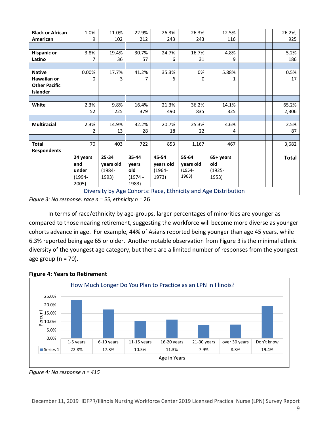|                         | $(1994 -$<br>2005) | 1993)     | $(1974 -$<br>1983) | 1973)     | 1963)     | 1953)     |  |              |
|-------------------------|--------------------|-----------|--------------------|-----------|-----------|-----------|--|--------------|
|                         | under              | $(1984 -$ | old                | $(1964 -$ | $(1954 -$ | $(1925 -$ |  |              |
|                         | and                | years old | years              | years old | years old | old       |  |              |
|                         | 24 years           | 25-34     | 35-44              | 45-54     | 55-64     | 65+ years |  | <b>Total</b> |
| <b>Respondents</b>      |                    |           |                    |           |           |           |  |              |
| <b>Total</b>            | 70                 | 403       | 722                | 853       | 1,167     | 467       |  | 3,682        |
|                         |                    |           |                    |           |           |           |  |              |
|                         | 2                  | 13        | 28                 | 18        | 22        | 4         |  | 87           |
| <b>Multiracial</b>      | 2.3%               | 14.9%     | 32.2%              | 20.7%     | 25.3%     | 4.6%      |  | 2.5%         |
|                         |                    |           |                    |           |           |           |  |              |
|                         | 52                 | 225       | 379                | 490       | 835       | 325       |  | 2,306        |
| White                   | 2.3%               | 9.8%      | 16.4%              | 21.3%     | 36.2%     | 14.1%     |  | 65.2%        |
|                         |                    |           |                    |           |           |           |  |              |
| <b>Islander</b>         |                    |           |                    |           |           |           |  |              |
| <b>Other Pacific</b>    |                    |           |                    |           |           |           |  |              |
| Hawaiian or             | 0                  | 3         | 7                  | 6         | 0         |           |  | 17           |
| <b>Native</b>           | 0.00%              | 17.7%     | 41.2%              | 35.3%     | 0%        | 5.88%     |  | 0.5%         |
| Latino                  |                    | 36        | 57                 | 6         | 31        | 9         |  | 186          |
| <b>Hispanic or</b>      | 3.8%               | 19.4%     | 30.7%              | 24.7%     | 16.7%     | 4.8%      |  | 5.2%         |
|                         |                    |           |                    |           |           |           |  |              |
| American                | 9                  | 102       | 212                | 243       | 243       | 116       |  | 925          |
| <b>Black or African</b> | 1.0%               | 11.0%     | 22.9%              | 26.3%     | 26.3%     | 12.5%     |  | 26.2%,       |

Figure 3: No response: race  $n = 55$ , ethnicity  $n = 26$ 

In terms of race/ethnicity by age-groups, larger percentages of minorities are younger as compared to those nearing retirement, suggesting the workforce will become more diverse as younger cohorts advance in age. For example, 44% of Asians reported being younger than age 45 years, while 6.3% reported being age 65 or older. Another notable observation from Figure 3 is the minimal ethnic diversity of the youngest age category, but there are a limited number of responses from the youngest age group ( $n = 70$ ).

#### Figure 4: Years to Retirement



Figure 4: No response  $n = 415$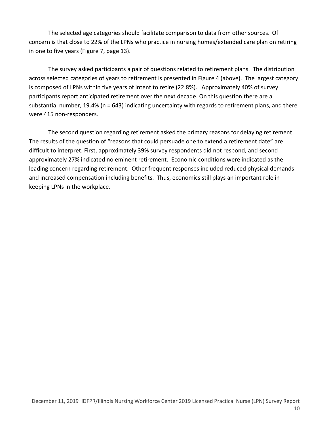The selected age categories should facilitate comparison to data from other sources. Of concern is that close to 22% of the LPNs who practice in nursing homes/extended care plan on retiring in one to five years (Figure 7, page 13).

The survey asked participants a pair of questions related to retirement plans. The distribution across selected categories of years to retirement is presented in Figure 4 (above). The largest category is composed of LPNs within five years of intent to retire (22.8%). Approximately 40% of survey participants report anticipated retirement over the next decade. On this question there are a substantial number, 19.4% (n = 643) indicating uncertainty with regards to retirement plans, and there were 415 non-responders.

The second question regarding retirement asked the primary reasons for delaying retirement. The results of the question of "reasons that could persuade one to extend a retirement date" are difficult to interpret. First, approximately 39% survey respondents did not respond, and second approximately 27% indicated no eminent retirement. Economic conditions were indicated as the leading concern regarding retirement. Other frequent responses included reduced physical demands and increased compensation including benefits. Thus, economics still plays an important role in keeping LPNs in the workplace.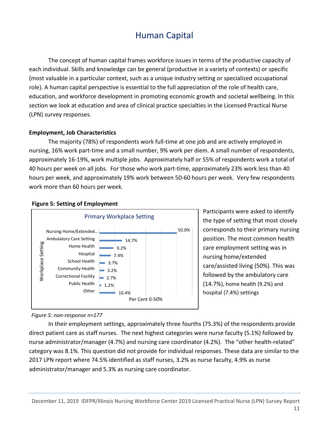# Human Capital

The concept of human capital frames workforce issues in terms of the productive capacity of each individual. Skills and knowledge can be general (productive in a variety of contexts) or specific (most valuable in a particular context, such as a unique industry setting or specialized occupational role). A human capital perspective is essential to the full appreciation of the role of health care, education, and workforce development in promoting economic growth and societal wellbeing. In this section we look at education and area of clinical practice specialties in the Licensed Practical Nurse (LPN) survey responses.

#### Employment, Job Characteristics

The majority (78%) of respondents work full-time at one job and are actively employed in nursing, 16% work part-time and a small number, 9% work per diem. A small number of respondents, approximately 16-19%, work multiple jobs. Approximately half or 55% of respondents work a total of 40 hours per week on all jobs. For those who work part-time, approximately 23% work less than 40 hours per week, and approximately 19% work between 50-60 hours per week. Very few respondents work more than 60 hours per week.



#### Figure 5: Setting of Employment

Participants were asked to identify the type of setting that most closely corresponds to their primary nursing position. The most common health care employment setting was in nursing home/extended care/assisted living (50%). This was followed by the ambulatory care (14.7%), home health (9.2%) and hospital (7.4%) settings

#### Figure 5: non-response n=177

In their employment settings, approximately three fourths (75.3%) of the respondents provide direct patient care as staff nurses. The next highest categories were nurse faculty (5.1%) followed by nurse administrator/manager (4.7%) and nursing care coordinator (4.2%). The "other health-related" category was 8.1%. This question did not provide for individual responses. These data are similar to the 2017 LPN report where 74.5% identified as staff nurses, 3.2% as nurse faculty, 4.9% as nurse administrator/manager and 5.3% as nursing care coordinator.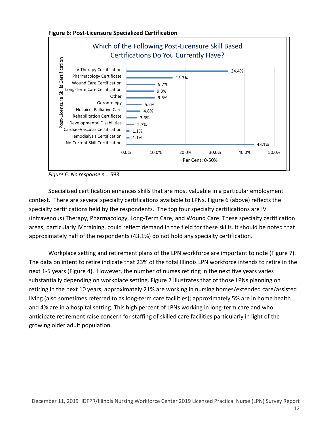



Figure 6: No response n = 593

Specialized certification enhances skills that are most valuable in a particular employment context. There are several specialty certifications available to LPNs. Figure 6 (above) reflects the specialty certifications held by the respondents. The top four specialty certifications are IV (intravenous) Therapy, Pharmacology, Long-Term Care, and Wound Care. These specialty certification areas, particularly IV training, could reflect demand in the field for these skills. It should be noted that approximately half of the respondents (43.1%) do not hold any specialty certification.

Workplace setting and retirement plans of the LPN workforce are important to note (Figure 7). The data on intent to retire indicate that 23% of the total Illinois LPN workforce intends to retire in the next 1-5 years (Figure 4). However, the number of nurses retiring in the next five years varies substantially depending on workplace setting. Figure 7 illustrates that of those LPNs planning on retiring in the next 10 years, approximately 21% are working in nursing homes/extended care/assisted living (also sometimes referred to as long-term care facilities); approximately 5% are in home health and 4% are in a hospital setting. This high percent of LPNs working in long-term care and who anticipate retirement raise concern for staffing of skilled care facilities particularly in light of the growing older adult population.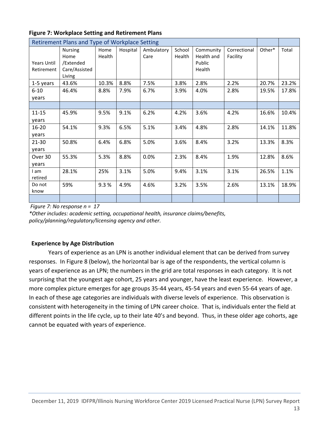| Retirement Plans and Type of Workplace Setting |                        |                |          |                    |                  |                         |                          |        |       |
|------------------------------------------------|------------------------|----------------|----------|--------------------|------------------|-------------------------|--------------------------|--------|-------|
|                                                | <b>Nursing</b><br>Home | Home<br>Health | Hospital | Ambulatory<br>Care | School<br>Health | Community<br>Health and | Correctional<br>Facility | Other* | Total |
| <b>Years Until</b>                             | /Extended              |                |          |                    |                  | Public                  |                          |        |       |
| Retirement                                     | Care/Assisted          |                |          |                    |                  | Health                  |                          |        |       |
|                                                | Living                 |                |          |                    |                  |                         |                          |        |       |
| 1-5 years                                      | 43.6%                  | 10.3%          | 8.8%     | 7.5%               | 3.8%             | 2.8%                    | 2.2%                     | 20.7%  | 23.2% |
| $6 - 10$                                       | 46.4%                  | 8.8%           | 7.9%     | 6.7%               | 3.9%             | 4.0%                    | 2.8%                     | 19.5%  | 17.8% |
| years                                          |                        |                |          |                    |                  |                         |                          |        |       |
|                                                |                        |                |          |                    |                  |                         |                          |        |       |
| $11 - 15$                                      | 45.9%                  | 9.5%           | 9.1%     | 6.2%               | 4.2%             | 3.6%                    | 4.2%                     | 16.6%  | 10.4% |
| years                                          |                        |                |          |                    |                  |                         |                          |        |       |
| $16 - 20$                                      | 54.1%                  | 9.3%           | 6.5%     | 5.1%               | 3.4%             | 4.8%                    | 2.8%                     | 14.1%  | 11.8% |
| years                                          |                        |                |          |                    |                  |                         |                          |        |       |
| $21 - 30$                                      | 50.8%                  | 6.4%           | 6.8%     | 5.0%               | 3.6%             | 8.4%                    | 3.2%                     | 13.3%  | 8.3%  |
| years                                          |                        |                |          |                    |                  |                         |                          |        |       |
| Over 30                                        | 55.3%                  | 5.3%           | 8.8%     | 0.0%               | 2.3%             | 8.4%                    | 1.9%                     | 12.8%  | 8.6%  |
| years                                          |                        |                |          |                    |                  |                         |                          |        |       |
| I am                                           | 28.1%                  | 25%            | 3.1%     | 5.0%               | 9.4%             | 3.1%                    | 3.1%                     | 26.5%  | 1.1%  |
| retired                                        |                        |                |          |                    |                  |                         |                          |        |       |
| Do not                                         | 59%                    | 9.3%           | 4.9%     | 4.6%               | 3.2%             | 3.5%                    | 2.6%                     | 13.1%  | 18.9% |
| know                                           |                        |                |          |                    |                  |                         |                          |        |       |
|                                                |                        |                |          |                    |                  |                         |                          |        |       |

#### Figure 7: Workplace Setting and Retirement Plans

Figure 7: No response  $n = 17$ 

\*Other includes: academic setting, occupational health, insurance claims/benefits, policy/planning/regulatory/licensing agency and other.

### Experience by Age Distribution

Years of experience as an LPN is another individual element that can be derived from survey responses. In Figure 8 (below), the horizontal bar is age of the respondents, the vertical column is years of experience as an LPN; the numbers in the grid are total responses in each category. It is not surprising that the youngest age cohort, 25 years and younger, have the least experience. However, a more complex picture emerges for age groups 35-44 years, 45-54 years and even 55-64 years of age. In each of these age categories are individuals with diverse levels of experience. This observation is consistent with heterogeneity in the timing of LPN career choice. That is, individuals enter the field at different points in the life cycle, up to their late 40's and beyond. Thus, in these older age cohorts, age cannot be equated with years of experience.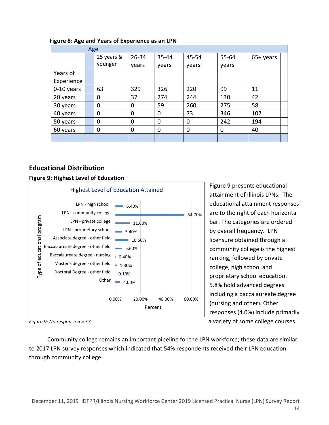|            | Age         |             |             |          |       |             |  |  |  |  |  |
|------------|-------------|-------------|-------------|----------|-------|-------------|--|--|--|--|--|
|            | 25 years &  | $26 - 34$   | 35-44       | 45-54    | 55-64 | $65+$ years |  |  |  |  |  |
|            | younger     | years       | years       | years    | years |             |  |  |  |  |  |
| Years of   |             |             |             |          |       |             |  |  |  |  |  |
| Experience |             |             |             |          |       |             |  |  |  |  |  |
| 0-10 years | 63          | 329         | 326         | 220      | 99    | 11          |  |  |  |  |  |
| 20 years   | 0           | 37          | 274         | 244      | 130   | 42          |  |  |  |  |  |
| 30 years   | 0           | 0           | 59          | 260      | 275   | 58          |  |  |  |  |  |
| 40 years   | $\mathbf 0$ | $\mathbf 0$ | $\mathbf 0$ | 73       | 346   | 102         |  |  |  |  |  |
| 50 years   | 0           | 0           | 0           | $\Omega$ | 242   | 194         |  |  |  |  |  |
| 60 years   | $\mathbf 0$ | 0           | $\mathbf 0$ | 0        | 0     | 40          |  |  |  |  |  |
|            |             |             |             |          |       |             |  |  |  |  |  |

#### Figure 8: Age and Years of Experience as an LPN

### Educational Distribution

#### Figure 9: Highest Level of Education



 Community college remains an important pipeline for the LPN workforce; these data are similar to 2017 LPN survey responses which indicated that 54% respondents received their LPN education through community college.

Figure 9 presents educational attainment of Illinois LPNs. The educational attainment responses are to the right of each horizontal bar. The categories are ordered by overall frequency. LPN licensure obtained through a community college is the highest ranking, followed by private college, high school and proprietary school education. 5.8% hold advanced degrees including a baccalaureate degree (nursing and other). Other responses (4.0%) include primarily Figure 9: No response n = 57 a variety of some college courses.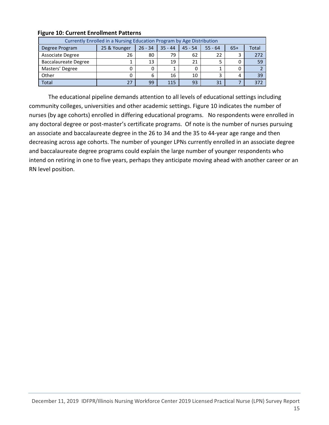| Currently Enrolled in a Nursing Education Program by Age Distribution |              |           |           |           |           |       |       |  |  |  |  |
|-----------------------------------------------------------------------|--------------|-----------|-----------|-----------|-----------|-------|-------|--|--|--|--|
| Degree Program                                                        | 25 & Younger | $26 - 34$ | $35 - 44$ | $45 - 54$ | $55 - 64$ | $65+$ | Total |  |  |  |  |
| Associate Degree                                                      | 26           | 80        | 79        | 62        | 22        | 3     | 272   |  |  |  |  |
| <b>Baccalaureate Degree</b>                                           |              | 13        | 19        | 21        |           | 0     | 59    |  |  |  |  |
| Masters' Degree                                                       | 0            |           |           | 0         |           | 0     |       |  |  |  |  |
| Other                                                                 | 0            | 6         | 16        | 10        | 3         | 4     | 39    |  |  |  |  |
| <b>Total</b>                                                          | 27           | 99        | 115       | 93        | 31        |       | 372   |  |  |  |  |

#### Figure 10: Current Enrollment Patterns

The educational pipeline demands attention to all levels of educational settings including community colleges, universities and other academic settings. Figure 10 indicates the number of nurses (by age cohorts) enrolled in differing educational programs. No respondents were enrolled in any doctoral degree or post-master's certificate programs. Of note is the number of nurses pursuing an associate and baccalaureate degree in the 26 to 34 and the 35 to 44-year age range and then decreasing across age cohorts. The number of younger LPNs currently enrolled in an associate degree and baccalaureate degree programs could explain the large number of younger respondents who intend on retiring in one to five years, perhaps they anticipate moving ahead with another career or an RN level position.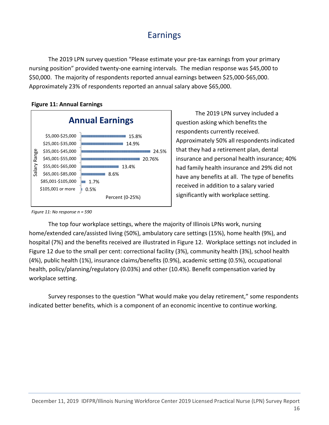# Earnings

The 2019 LPN survey question "Please estimate your pre-tax earnings from your primary nursing position" provided twenty-one earning intervals. The median response was \$45,000 to \$50,000. The majority of respondents reported annual earnings between \$25,000-\$65,000. Approximately 23% of respondents reported an annual salary above \$65,000.



 $| 0.5\%$ 

Percent (0-25%)

Figure 11: Annual Earnings

The 2019 LPN survey included a question asking which benefits the respondents currently received. Approximately 50% all respondents indicated that they had a retirement plan, dental insurance and personal health insurance; 40% had family health insurance and 29% did not have any benefits at all. The type of benefits received in addition to a salary varied significantly with workplace setting.

Figure 11: No response n = 590

\$105,001 or more

The top four workplace settings, where the majority of Illinois LPNs work, nursing home/extended care/assisted living (50%), ambulatory care settings (15%), home health (9%), and hospital (7%) and the benefits received are illustrated in Figure 12. Workplace settings not included in Figure 12 due to the small per cent: correctional facility (3%), community health (3%), school health (4%), public health (1%), insurance claims/benefits (0.9%), academic setting (0.5%), occupational health, policy/planning/regulatory (0.03%) and other (10.4%). Benefit compensation varied by workplace setting.

Survey responses to the question "What would make you delay retirement," some respondents indicated better benefits, which is a component of an economic incentive to continue working.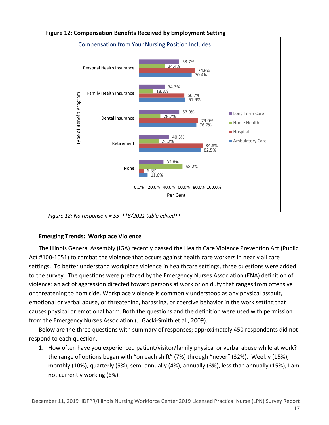

Figure 12: Compensation Benefits Received by Employment Setting

Figure 12: No response  $n = 55$  \*\*8/2021 table edited\*\*

### Emerging Trends: Workplace Violence

The Illinois General Assembly (IGA) recently passed the Health Care Violence Prevention Act (Public Act #100-1051) to combat the violence that occurs against health care workers in nearly all care settings. To better understand workplace violence in healthcare settings, three questions were added to the survey. The questions were prefaced by the Emergency Nurses Association (ENA) definition of violence: an act of aggression directed toward persons at work or on duty that ranges from offensive or threatening to homicide. Workplace violence is commonly understood as any physical assault, emotional or verbal abuse, or threatening, harassing, or coercive behavior in the work setting that causes physical or emotional harm. Both the questions and the definition were used with permission from the Emergency Nurses Association (J. Gacki-Smith et al., 2009).

Below are the three questions with summary of responses; approximately 450 respondents did not respond to each question.

1. How often have you experienced patient/visitor/family physical or verbal abuse while at work? the range of options began with "on each shift" (7%) through "never" (32%). Weekly (15%), monthly (10%), quarterly (5%), semi-annually (4%), annually (3%), less than annually (15%), I am not currently working (6%).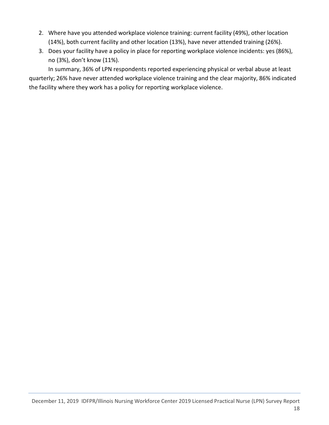- 2. Where have you attended workplace violence training: current facility (49%), other location (14%), both current facility and other location (13%), have never attended training (26%).
- 3. Does your facility have a policy in place for reporting workplace violence incidents: yes (86%), no (3%), don't know (11%).

In summary, 36% of LPN respondents reported experiencing physical or verbal abuse at least quarterly; 26% have never attended workplace violence training and the clear majority, 86% indicated the facility where they work has a policy for reporting workplace violence.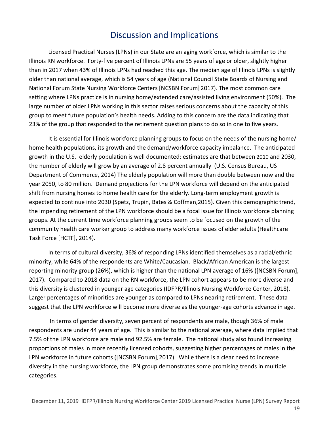# Discussion and Implications

Licensed Practical Nurses (LPNs) in our State are an aging workforce, which is similar to the Illinois RN workforce. Forty-five percent of Illinois LPNs are 55 years of age or older, slightly higher than in 2017 when 43% of Illinois LPNs had reached this age. The median age of Illinois LPNs is slightly older than national average, which is 54 years of age (National Council State Boards of Nursing and National Forum State Nursing Workforce Centers [NCSBN Forum] 2017). The most common care setting where LPNs practice is in nursing home/extended care/assisted living environment (50%). The large number of older LPNs working in this sector raises serious concerns about the capacity of this group to meet future population's health needs. Adding to this concern are the data indicating that 23% of the group that responded to the retirement question plans to do so in one to five years.

It is essential for Illinois workforce planning groups to focus on the needs of the nursing home/ home health populations, its growth and the demand/workforce capacity imbalance. The anticipated growth in the U.S. elderly population is well documented: estimates are that between 2010 and 2030, the number of elderly will grow by an average of 2.8 percent annually (U.S. Census Bureau, US Department of Commerce, 2014) The elderly population will more than double between now and the year 2050, to 80 million. Demand projections for the LPN workforce will depend on the anticipated shift from nursing homes to home health care for the elderly. Long-term employment growth is expected to continue into 2030 (Spetz, Trupin, Bates & Coffman,2015). Given this demographic trend, the impending retirement of the LPN workforce should be a focal issue for Illinois workforce planning groups. At the current time workforce planning groups seem to be focused on the growth of the community health care worker group to address many workforce issues of elder adults (Healthcare Task Force [HCTF], 2014).

In terms of cultural diversity, 36% of responding LPNs identified themselves as a racial/ethnic minority, while 64% of the respondents are White/Caucasian. Black/African American is the largest reporting minority group (26%), which is higher than the national LPN average of 16% ([NCSBN Forum], 2017). Compared to 2018 data on the RN workforce, the LPN cohort appears to be more diverse and this diversity is clustered in younger age categories (IDFPR/Illinois Nursing Workforce Center, 2018). Larger percentages of minorities are younger as compared to LPNs nearing retirement. These data suggest that the LPN workforce will become more diverse as the younger-age cohorts advance in age.

 In terms of gender diversity, seven percent of respondents are male, though 36% of male respondents are under 44 years of age. This is similar to the national average, where data implied that 7.5% of the LPN workforce are male and 92.5% are female. The national study also found increasing proportions of males in more recently licensed cohorts, suggesting higher percentages of males in the LPN workforce in future cohorts ([NCSBN Forum], 2017). While there is a clear need to increase diversity in the nursing workforce, the LPN group demonstrates some promising trends in multiple categories.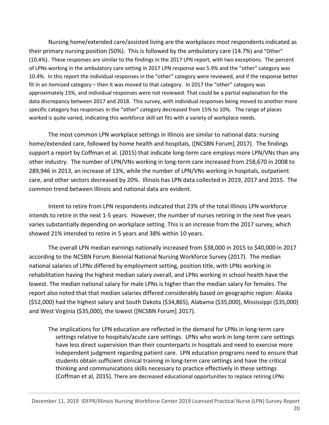Nursing home/extended care/assisted living are the workplaces most respondents indicated as their primary nursing position (50%). This is followed by the ambulatory care (14.7%) and "Other" (10.4%). These responses are similar to the findings in the 2017 LPN report, with two exceptions. The percent of LPNs working in the ambulatory care setting in 2017 LPN response was 5.9% and the "other" category was 10.4%. In this report the individual responses in the "other" category were reviewed, and if the response better fit in an itemized category – then it was moved to that category. In 2017 the "other" category was approximately 15%, and individual responses were not reviewed. That could be a partial explanation for the data discrepancy between 2017 and 2018. This survey, with individual responses being moved to another more specific category has responses in the "other" category decreased from 15% to 10%. The range of places worked is quite varied, indicating this workforce skill set fits with a variety of workplace needs.

The most common LPN workplace settings in Illinois are similar to national data: nursing home/extended care, followed by home health and hospitals, ([NCSBN Forum], 2017). The findings support a report by Coffman et al. (2015) that indicate long-term care employs more LPN/VNs than any other industry. The number of LPN/VNs working in long-term care increased from 258,670 in 2008 to 289,946 in 2013, an increase of 13%, while the number of LPN/VNs working in hospitals, outpatient care, and other sectors decreased by 20%. Illinois has LPN data collected in 2019, 2017 and 2015. The common trend between Illinois and national data are evident.

Intent to retire from LPN respondents indicated that 23% of the total Illinois LPN workforce intends to retire in the next 1-5 years. However, the number of nurses retiring in the next five years varies substantially depending on workplace setting. This is an increase from the 2017 survey, which showed 21% intended to retire in 5 years and 38% within 10 years.

The overall LPN median earnings nationally increased from \$38,000 in 2015 to \$40,000 in 2017 according to the NCSBN Forum, Biennial National Nursing Workforce Survey (2017). The median national salaries of LPNs differed by employment setting, position title, with LPNs working in rehabilitation having the highest median salary overall, and LPNs working in school health have the lowest. The median national salary for male LPNs is higher than the median salary for females. The report also noted that that median salaries differed considerably based on geographic region: Alaska (\$52,000) had the highest salary and South Dakota (\$34,865), Alabama (\$35,000), Mississippi (\$35,000) and West Virginia (\$35,000), the lowest ([NCSBN Forum], 2017).

The implications for LPN education are reflected in the demand for LPNs in long-term care settings relative to hospitals/acute care settings. LPNs who work in long-term care settings have less direct supervision than their counterparts in hospitals and need to exercise more independent judgment regarding patient care. LPN education programs need to ensure that students obtain sufficient clinical training in long-term care settings and have the critical thinking and communications skills necessary to practice effectively in these settings (Coffman et al, 2015). There are decreased educational opportunities to replace retiring LPNs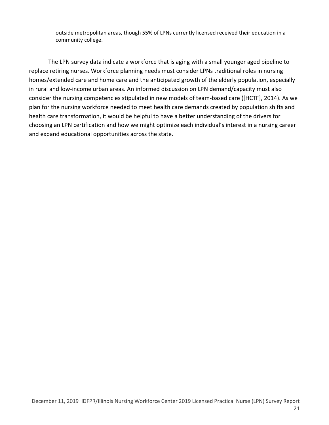outside metropolitan areas, though 55% of LPNs currently licensed received their education in a community college.

The LPN survey data indicate a workforce that is aging with a small younger aged pipeline to replace retiring nurses. Workforce planning needs must consider LPNs traditional roles in nursing homes/extended care and home care and the anticipated growth of the elderly population, especially in rural and low-income urban areas. An informed discussion on LPN demand/capacity must also consider the nursing competencies stipulated in new models of team-based care ([HCTF], 2014). As we plan for the nursing workforce needed to meet health care demands created by population shifts and health care transformation, it would be helpful to have a better understanding of the drivers for choosing an LPN certification and how we might optimize each individual's interest in a nursing career and expand educational opportunities across the state.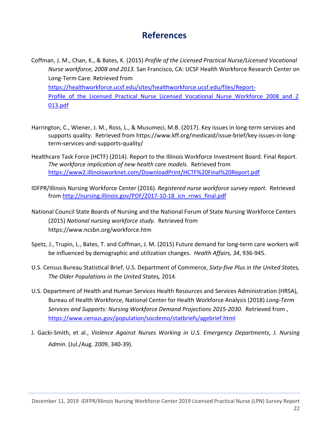### References

Coffman, J. M., Chan, K., & Bates, K. (2015) Profile of the Licensed Practical Nurse/Licensed Vocational Nurse workforce, 2008 and 2013. San Francisco, CA: UCSF Health Workforce Research Center on Long-Term Care. Retrieved from https://healthworkforce.ucsf.edu/sites/healthworkforce.ucsf.edu/files/Report-Profile of the Licensed Practical Nurse Licensed Vocational Nurse Workforce 2008 and 2 013.pdf

- Harrington, C., Wiener, J. M., Ross, L., & Musumeci, M.B. (2017). Key issues in long-term services and supports quality. Retrieved from https://www.kff.org/medicaid/issue-brief/key-issues-in-longterm-services-and-supports-quality/
- Healthcare Task Force (HCTF) (2014). Report to the Illinois Workforce Investment Board. Final Report. The workforce implication of new health care models. Retrieved from https://www2.illinoisworknet.com/DownloadPrint/HCTF%20Final%20Report.pdf
- IDFPR/Illinois Nursing Workforce Center (2016). Registered nurse workforce survey report. Retrieved from http://nursing.illinois.gov/PDF/2017-10-18\_icn\_rnws\_final.pdf
- National Council State Boards of Nursing and the National Forum of State Nursing Workforce Centers (2015) National nursing workforce study. Retrieved from https://www.ncsbn.org/workforce.htm
- Spetz, J., Trupin, L., Bates, T. and Coffman, J. M. (2015) Future demand for long-term care workers will be influenced by demographic and utilization changes. Health Affairs, 34, 936-945.
- U.S. Census Bureau Statistical Brief, U.S. Department of Commerce, Sixty-five Plus in the United States, The Older Populations in the United States, 2014.
- U.S. Department of Health and Human Services Health Resources and Services Administration (HRSA), Bureau of Health Workforce, National Center for Health Workforce Analysis (2018) Long-Term Services and Supports: Nursing Workforce Demand Projections 2015-2030. Retrieved from , https://www.census.gov/population/socdemo/statbriefs/agebrief.html
- J. Gacki-Smith, et al., Violence Against Nurses Working in U.S. Emergency Departments, J. Nursing Admin. (Jul./Aug. 2009, 340-39).